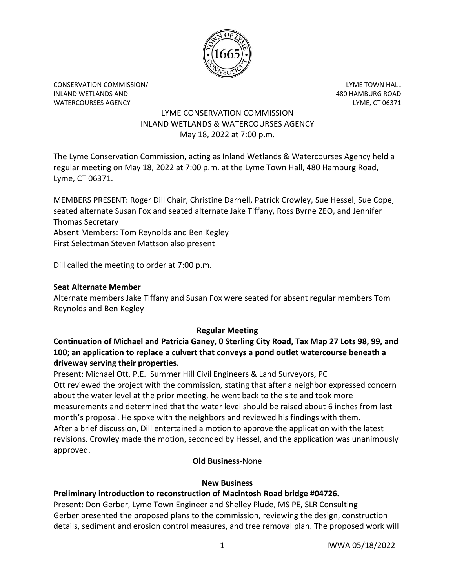

CONSERVATION COMMISSION/ LYME TOWN HALL INLAND WETLANDS AND 480 HAMBURG ROAD WATERCOURSES AGENCY **Example 20 and 20 and 20 and 20 and 20 and 20 and 20 and 20 and 20 and 20 and 20 and 20 and 20 and 20 and 20 and 20 and 20 and 20 and 20 and 20 and 20 and 20 and 20 and 20 and 20 and 20 and 20 and 20 a** 

# LYME CONSERVATION COMMISSION INLAND WETLANDS & WATERCOURSES AGENCY May 18, 2022 at 7:00 p.m.

The Lyme Conservation Commission, acting as Inland Wetlands & Watercourses Agency held a regular meeting on May 18, 2022 at 7:00 p.m. at the Lyme Town Hall, 480 Hamburg Road, Lyme, CT 06371.

MEMBERS PRESENT: Roger Dill Chair, Christine Darnell, Patrick Crowley, Sue Hessel, Sue Cope, seated alternate Susan Fox and seated alternate Jake Tiffany, Ross Byrne ZEO, and Jennifer Thomas Secretary Absent Members: Tom Reynolds and Ben Kegley First Selectman Steven Mattson also present

Dill called the meeting to order at 7:00 p.m.

### **Seat Alternate Member**

Alternate members Jake Tiffany and Susan Fox were seated for absent regular members Tom Reynolds and Ben Kegley

## **Regular Meeting**

**Continuation of Michael and Patricia Ganey, 0 Sterling City Road, Tax Map 27 Lots 98, 99, and 100; an application to replace a culvert that conveys a pond outlet watercourse beneath a driveway serving their properties.** 

Present: Michael Ott, P.E. Summer Hill Civil Engineers & Land Surveyors, PC Ott reviewed the project with the commission, stating that after a neighbor expressed concern about the water level at the prior meeting, he went back to the site and took more measurements and determined that the water level should be raised about 6 inches from last month's proposal. He spoke with the neighbors and reviewed his findings with them. After a brief discussion, Dill entertained a motion to approve the application with the latest revisions. Crowley made the motion, seconded by Hessel, and the application was unanimously approved.

## **Old Business**-None

#### **New Business**

## **Preliminary introduction to reconstruction of Macintosh Road bridge #04726.**

Present: Don Gerber, Lyme Town Engineer and Shelley Plude, MS PE, SLR Consulting Gerber presented the proposed plans to the commission, reviewing the design, construction details, sediment and erosion control measures, and tree removal plan. The proposed work will